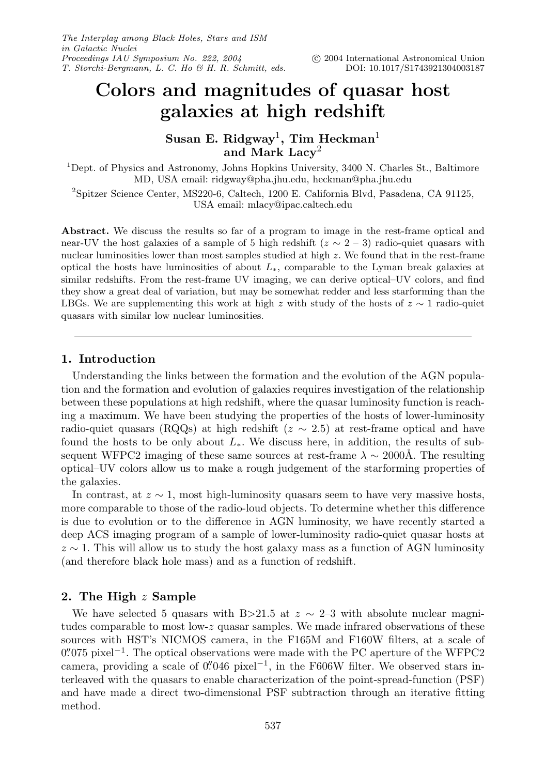# **Colors and magnitudes of quasar host galaxies at high redshift**

**Susan E. Ridgway**1**, Tim Heckman**<sup>1</sup> **and Mark Lacy**<sup>2</sup>

<sup>1</sup>Dept. of Physics and Astronomy, Johns Hopkins University, 3400 N. Charles St., Baltimore MD, USA email: ridgway@pha.jhu.edu, heckman@pha.jhu.edu

<sup>2</sup>Spitzer Science Center, MS220-6, Caltech, 1200 E. California Blvd, Pasadena, CA 91125, USA email: mlacy@ipac.caltech.edu

**Abstract.** We discuss the results so far of a program to image in the rest-frame optical and near-UV the host galaxies of a sample of 5 high redshift ( $z \sim 2 - 3$ ) radio-quiet quasars with nuclear luminosities lower than most samples studied at high z. We found that in the rest-frame optical the hosts have luminosities of about  $L_{*}$ , comparable to the Lyman break galaxies at similar redshifts. From the rest-frame UV imaging, we can derive optical–UV colors, and find they show a great deal of variation, but may be somewhat redder and less starforming than the LBGs. We are supplementing this work at high z with study of the hosts of  $z \sim 1$  radio-quiet quasars with similar low nuclear luminosities.

## **1. Introduction**

Understanding the links between the formation and the evolution of the AGN population and the formation and evolution of galaxies requires investigation of the relationship between these populations at high redshift, where the quasar luminosity function is reaching a maximum. We have been studying the properties of the hosts of lower-luminosity radio-quiet quasars (RQQs) at high redshift ( $z \sim 2.5$ ) at rest-frame optical and have found the hosts to be only about  $L_{*}$ . We discuss here, in addition, the results of subsequent WFPC2 imaging of these same sources at rest-frame  $\lambda \sim 2000$ Å. The resulting optical–UV colors allow us to make a rough judgement of the starforming properties of the galaxies.

In contrast, at  $z \sim 1$ , most high-luminosity quasars seem to have very massive hosts, more comparable to those of the radio-loud objects. To determine whether this difference is due to evolution or to the difference in AGN luminosity, we have recently started a deep ACS imaging program of a sample of lower-luminosity radio-quiet quasar hosts at  $z \sim 1$ . This will allow us to study the host galaxy mass as a function of AGN luminosity (and therefore black hole mass) and as a function of redshift.

# **2. The High** z **Sample**

We have selected 5 quasars with B>21.5 at  $z \sim 2$ –3 with absolute nuclear magnitudes comparable to most low- $z$  quasar samples. We made infrared observations of these sources with HST's NICMOS camera, in the F165M and F160W filters, at a scale of  $0\rlap.{''}075$  pixel<sup>-1</sup>. The optical observations were made with the PC aperture of the WFPC2 camera, providing a scale of  $0''046$  pixel<sup>-1</sup>, in the F606W filter. We observed stars interleaved with the quasars to enable characterization of the point-spread-function (PSF) and have made a direct two-dimensional PSF subtraction through an iterative fitting method.